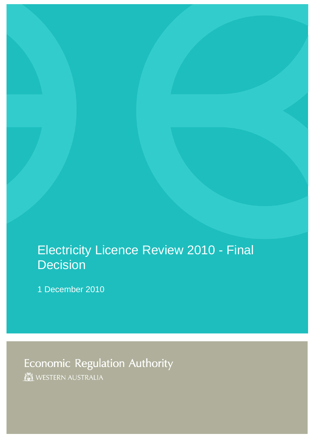# Electricity Licence Review 2010 - Final **Decision**

1 December 2010

**Economic Regulation Authority** WESTERN AUSTRALIA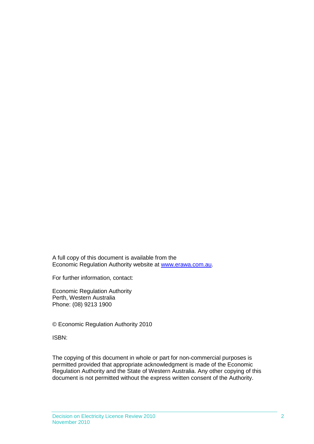A full copy of this document is available from the Economic Regulation Authority website at [www.erawa.com.au.](http://www.erawa.com.au/)

For further information, contact:

Economic Regulation Authority Perth, Western Australia Phone: (08) 9213 1900

© Economic Regulation Authority 2010

ISBN:

The copying of this document in whole or part for non-commercial purposes is permitted provided that appropriate acknowledgment is made of the Economic Regulation Authority and the State of Western Australia. Any other copying of this document is not permitted without the express written consent of the Authority.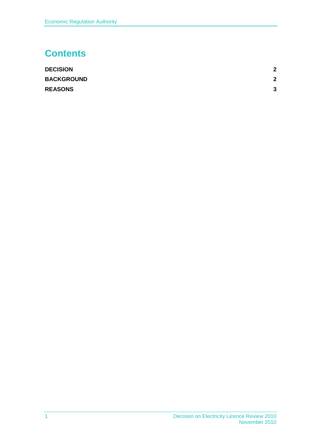## **Contents**

<span id="page-2-0"></span>

| <b>DECISION</b>   | $\mathbf{2}$ |
|-------------------|--------------|
| <b>BACKGROUND</b> | $\mathbf{2}$ |
| <b>REASONS</b>    | 3            |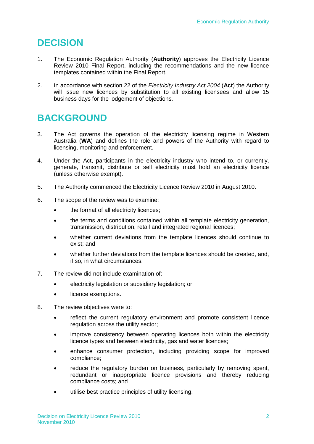#### **DECISION**

- 1. The Economic Regulation Authority (**Authority**) approves the Electricity Licence Review 2010 Final Report, including the recommendations and the new licence templates contained within the Final Report.
- 2. In accordance with section 22 of the *Electricity Industry Act 2004* (**Act**) the Authority will issue new licences by substitution to all existing licensees and allow 15 business days for the lodgement of objections.

## <span id="page-3-0"></span>**BACKGROUND**

- 3. The Act governs the operation of the electricity licensing regime in Western Australia (**WA**) and defines the role and powers of the Authority with regard to licensing, monitoring and enforcement.
- 4. Under the Act, participants in the electricity industry who intend to, or currently, generate, transmit, distribute or sell electricity must hold an electricity licence (unless otherwise exempt).
- 5. The Authority commenced the Electricity Licence Review 2010 in August 2010.
- 6. The scope of the review was to examine:
	- the format of all electricity licences;
	- the terms and conditions contained within all template electricity generation, transmission, distribution, retail and integrated regional licences;
	- whether current deviations from the template licences should continue to exist; and
	- whether further deviations from the template licences should be created, and, if so, in what circumstances.
- 7. The review did not include examination of:
	- electricity legislation or subsidiary legislation; or
	- licence exemptions.
- 8. The review objectives were to:
	- reflect the current regulatory environment and promote consistent licence regulation across the utility sector;
	- improve consistency between operating licences both within the electricity licence types and between electricity, gas and water licences;
	- enhance consumer protection, including providing scope for improved compliance;
	- reduce the regulatory burden on business, particularly by removing spent, redundant or inappropriate licence provisions and thereby reducing compliance costs; and
	- utilise best practice principles of utility licensing.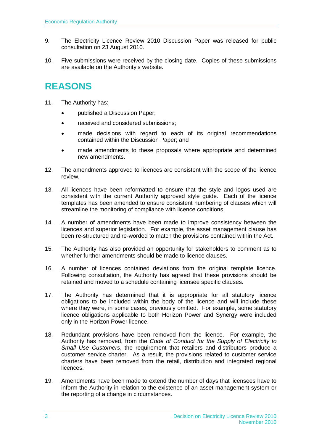- 9. The Electricity Licence Review 2010 Discussion Paper was released for public consultation on 23 August 2010.
- 10. Five submissions were received by the closing date. Copies of these submissions are available on the Authority's website.

### <span id="page-4-0"></span>**REASONS**

- 11. The Authority has:
	- published a Discussion Paper;
	- received and considered submissions:
	- made decisions with regard to each of its original recommendations contained within the Discussion Paper; and
	- made amendments to these proposals where appropriate and determined new amendments.
- 12. The amendments approved to licences are consistent with the scope of the licence review.
- 13. All licences have been reformatted to ensure that the style and logos used are consistent with the current Authority approved style guide. Each of the licence templates has been amended to ensure consistent numbering of clauses which will streamline the monitoring of compliance with licence conditions.
- 14. A number of amendments have been made to improve consistency between the licences and superior legislation. For example, the asset management clause has been re-structured and re-worded to match the provisions contained within the Act.
- 15. The Authority has also provided an opportunity for stakeholders to comment as to whether further amendments should be made to licence clauses.
- 16. A number of licences contained deviations from the original template licence. Following consultation, the Authority has agreed that these provisions should be retained and moved to a schedule containing licensee specific clauses.
- 17. The Authority has determined that it is appropriate for all statutory licence obligations to be included within the body of the licence and will include these where they were, in some cases, previously omitted. For example, some statutory licence obligations applicable to both Horizon Power and Synergy were included only in the Horizon Power licence.
- 18. Redundant provisions have been removed from the licence. For example, the Authority has removed, from the *Code of Conduct for the Supply of Electricity to Small Use Customers*, the requirement that retailers and distributors produce a customer service charter. As a result, the provisions related to customer service charters have been removed from the retail, distribution and integrated regional licences.
- 19. Amendments have been made to extend the number of days that licensees have to inform the Authority in relation to the existence of an asset management system or the reporting of a change in circumstances.